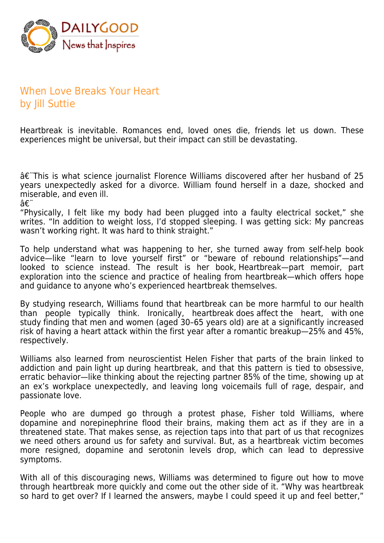

## When Love Breaks Your Heart by Jill Suttie

Heartbreak is inevitable. Romances end, loved ones die, friends let us down. These experiences might be universal, but their impact can still be devastating.

†This is what science journalist Florence Williams discovered after her husband of 25 years unexpectedly asked for a divorce. William found herself in a daze, shocked and miserable, and even ill.

â€.

"Physically, I felt like my body had been plugged into a faulty electrical socket," she writes. "In addition to weight loss, I'd stopped sleeping. I was getting sick: My pancreas wasn't working right. It was hard to think straight."

To help understand what was happening to her, she turned away from self-help book advice—like "learn to love yourself first" or "beware of rebound relationships"—and looked to science instead. The result is her book, Heartbreak—part memoir, part exploration into the science and practice of healing from heartbreak—which offers hope and guidance to anyone who's experienced heartbreak themselves.

By studying research, Williams found that heartbreak can be more harmful to our health than people typically think. Ironically, heartbreak does affect the heart, with one study finding that men and women (aged 30–65 years old) are at a significantly increased risk of having a heart attack within the first year after a romantic breakup—25% and 45%, respectively.

Williams also learned from neuroscientist Helen Fisher that parts of the brain linked to addiction and pain light up during heartbreak, and that this pattern is tied to obsessive, erratic behavior—like thinking about the rejecting partner 85% of the time, showing up at an ex's workplace unexpectedly, and leaving long voicemails full of rage, despair, and passionate love.

People who are dumped go through a protest phase, Fisher told Williams, where dopamine and norepinephrine flood their brains, making them act as if they are in a threatened state. That makes sense, as rejection taps into that part of us that recognizes we need others around us for safety and survival. But, as a heartbreak victim becomes more resigned, dopamine and serotonin levels drop, which can lead to depressive symptoms.

With all of this discouraging news, Williams was determined to figure out how to move through heartbreak more quickly and come out the other side of it. "Why was heartbreak so hard to get over? If I learned the answers, maybe I could speed it up and feel better,"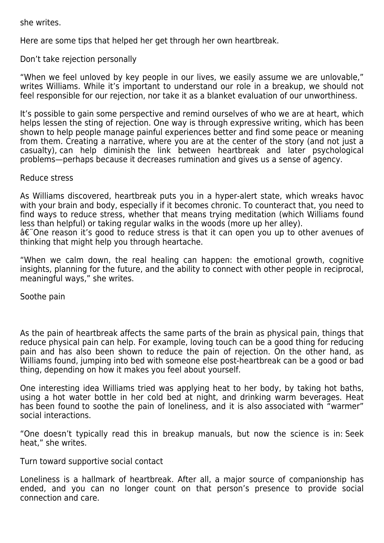she writes.

Here are some tips that helped her get through her own heartbreak.

Don't take rejection personally

"When we feel unloved by key people in our lives, we easily assume we are unlovable," writes Williams. While it's important to understand our role in a breakup, we should not feel responsible for our rejection, nor take it as a blanket evaluation of our unworthiness.

It's possible to gain some perspective and remind ourselves of who we are at heart, which helps lessen the sting of rejection. One way is through expressive writing, which has been shown to help people manage painful experiences better and find some peace or meaning from them. Creating a narrative, where you are at the center of the story (and not just a casualty), can help diminish the link between heartbreak and later psychological problems—perhaps because it decreases rumination and gives us a sense of agency.

## Reduce stress

As Williams discovered, heartbreak puts you in a hyper-alert state, which wreaks havoc with your brain and body, especially if it becomes chronic. To counteract that, you need to find ways to reduce stress, whether that means trying meditation (which Williams found less than helpful) or taking regular walks in the woods (more up her alley). †One reason it's good to reduce stress is that it can open you up to other avenues of thinking that might help you through heartache.

"When we calm down, the real healing can happen: the emotional growth, cognitive insights, planning for the future, and the ability to connect with other people in reciprocal, meaningful ways," she writes.

Soothe pain

As the pain of heartbreak affects the same parts of the brain as physical pain, things that reduce physical pain can help. For example, loving touch can be a good thing for reducing pain and has also been shown to reduce the pain of rejection. On the other hand, as Williams found, jumping into bed with someone else post-heartbreak can be a good or bad thing, depending on how it makes you feel about yourself.

One interesting idea Williams tried was applying heat to her body, by taking hot baths, using a hot water bottle in her cold bed at night, and drinking warm beverages. Heat has been found to soothe the pain of loneliness, and it is also associated with "warmer" social interactions.

"One doesn't typically read this in breakup manuals, but now the science is in: Seek heat," she writes.

Turn toward supportive social contact

Loneliness is a hallmark of heartbreak. After all, a major source of companionship has ended, and you can no longer count on that person's presence to provide social connection and care.